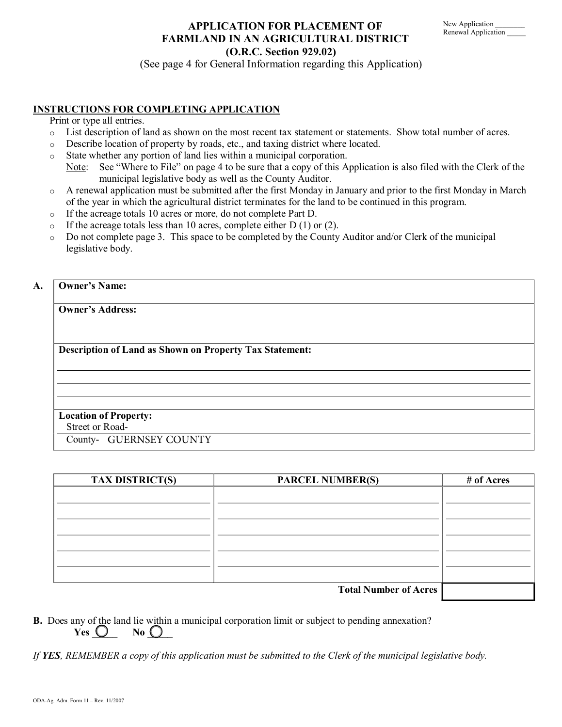# **APPLICATION FOR PLACEMENT OF FARMLAND IN AN AGRICULTURAL DISTRICT (O.R.C. Section 929.02)**

(See page 4 for General Information regarding this Application)

# **INSTRUCTIONS FOR COMPLETING APPLICATION**

Print or type all entries.

- o List description of land as shown on the most recent tax statement or statements. Show total number of acres.
- o Describe location of property by roads, etc., and taxing district where located.
- o State whether any portion of land lies within a municipal corporation.
	- Note: See "Where to File" on page 4 to be sure that a copy of this Application is also filed with the Clerk of the municipal legislative body as well as the County Auditor.
- o A renewal application must be submitted after the first Monday in January and prior to the first Monday in March of the year in which the agricultural district terminates for the land to be continued in this program.
- o If the acreage totals 10 acres or more, do not complete Part D.
- $\circ$  If the acreage totals less than 10 acres, complete either D (1) or (2).
- $\circ$  Do not complete page 3. This space to be completed by the County Auditor and/or Clerk of the municipal legislative body.

## **A. Owner's Name:**

**Owner's Address:** 

**Description of Land as Shown on Property Tax Statement:** 

# **Location of Property:**

Street or Road

County-GUERNSEY COUNTY

| <b>TAX DISTRICT(S)</b> | <b>PARCEL NUMBER(S)</b>      | # of Acres |
|------------------------|------------------------------|------------|
|                        |                              |            |
|                        |                              |            |
|                        |                              |            |
|                        |                              |            |
|                        |                              |            |
|                        |                              |            |
|                        | <b>Total Number of Acres</b> |            |

**B.** Does any of the land lie within a municipal corporation limit or subject to pending annexation?  $Yes \bigcirc$  **No**  $\bigcirc$ 

*If YES, REMEMBER a copy of this application must be submitted to the Clerk of the municipal legislative body.*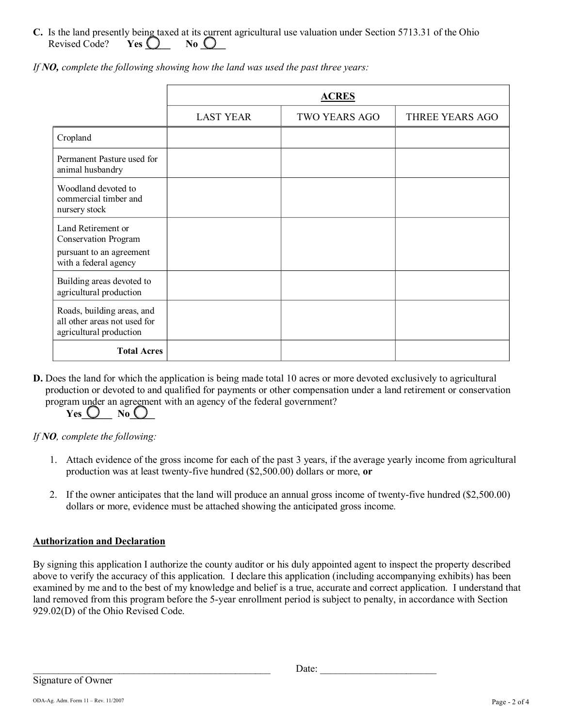**C.** Is the land presently being taxed at its current agricultural use valuation under Section 5713.31 of the Ohio Revised Code? **Yes**  $\bigcup$  **No**  $\bigcup$ 

|                                                                                                        |                  | <b>ACRES</b>         |                 |
|--------------------------------------------------------------------------------------------------------|------------------|----------------------|-----------------|
|                                                                                                        | <b>LAST YEAR</b> | <b>TWO YEARS AGO</b> | THREE YEARS AGO |
| Cropland                                                                                               |                  |                      |                 |
| Permanent Pasture used for<br>animal husbandry                                                         |                  |                      |                 |
| Woodland devoted to<br>commercial timber and<br>nursery stock                                          |                  |                      |                 |
| Land Retirement or<br><b>Conservation Program</b><br>pursuant to an agreement<br>with a federal agency |                  |                      |                 |
| Building areas devoted to<br>agricultural production                                                   |                  |                      |                 |
| Roads, building areas, and<br>all other areas not used for<br>agricultural production                  |                  |                      |                 |
| <b>Total Acres</b>                                                                                     |                  |                      |                 |

*If NO, complete the following showing how the land was used the past three years:*

**D.** Does the land for which the application is being made total 10 acres or more devoted exclusively to agricultural production or devoted to and qualified for payments or other compensation under a land retirement or conservation program under an agreement with an agency of the federal government?

# $Yes \bigcup \neg No \bigcup$

# *If NO, complete the following:*

- 1. Attach evidence of the gross income for each of the past 3 years, if the average yearly income from agricultural production was at least twenty-five hundred (\$2,500.00) dollars or more, or
- 2. If the owner anticipates that the land will produce an annual gross income of twenty-five hundred (\$2,500.00) dollars or more, evidence must be attached showing the anticipated gross income.

# **Authorization and Declaration**

By signing this application I authorize the county auditor or his duly appointed agent to inspect the property described above to verify the accuracy of this application. I declare this application (including accompanying exhibits) has been examined by me and to the best of my knowledge and belief is a true, accurate and correct application. I understand that land removed from this program before the 5-year enrollment period is subject to penalty, in accordance with Section 929.02(D) of the Ohio Revised Code.

 $\Box$ Signature of Owner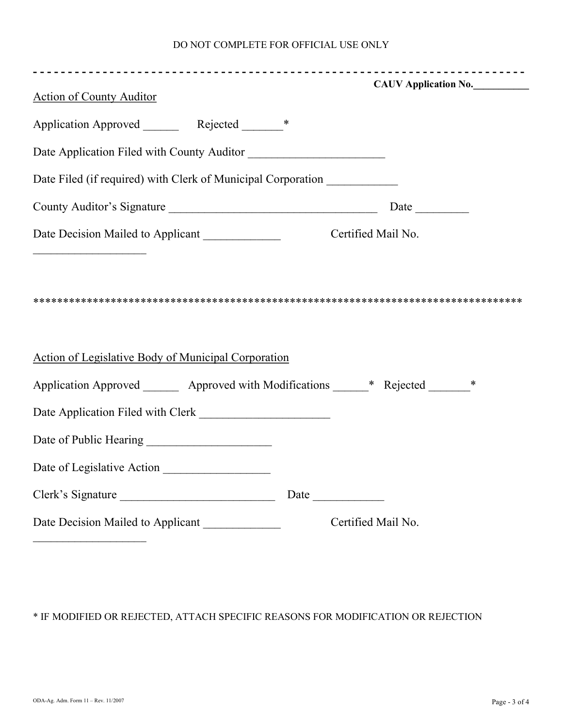## DO NOT COMPLETE FOR OFFICIAL USE ONLY

|                                                                                     | CAUV Application No. |
|-------------------------------------------------------------------------------------|----------------------|
| <b>Action of County Auditor</b>                                                     |                      |
|                                                                                     |                      |
|                                                                                     |                      |
| Date Filed (if required) with Clerk of Municipal Corporation ___________            |                      |
| County Auditor's Signature                                                          |                      |
| Date Decision Mailed to Applicant Certified Mail No.                                |                      |
|                                                                                     |                      |
|                                                                                     |                      |
| <b>Action of Legislative Body of Municipal Corporation</b>                          |                      |
| Application Approved ________ Approved with Modifications ______* Rejected _______* |                      |
|                                                                                     |                      |
|                                                                                     |                      |
| Date of Legislative Action                                                          |                      |
|                                                                                     |                      |

\* IF MODIFIED OR REJECTED, ATTACH SPECIFIC REASONS FOR MODIFICATION OR REJECTION